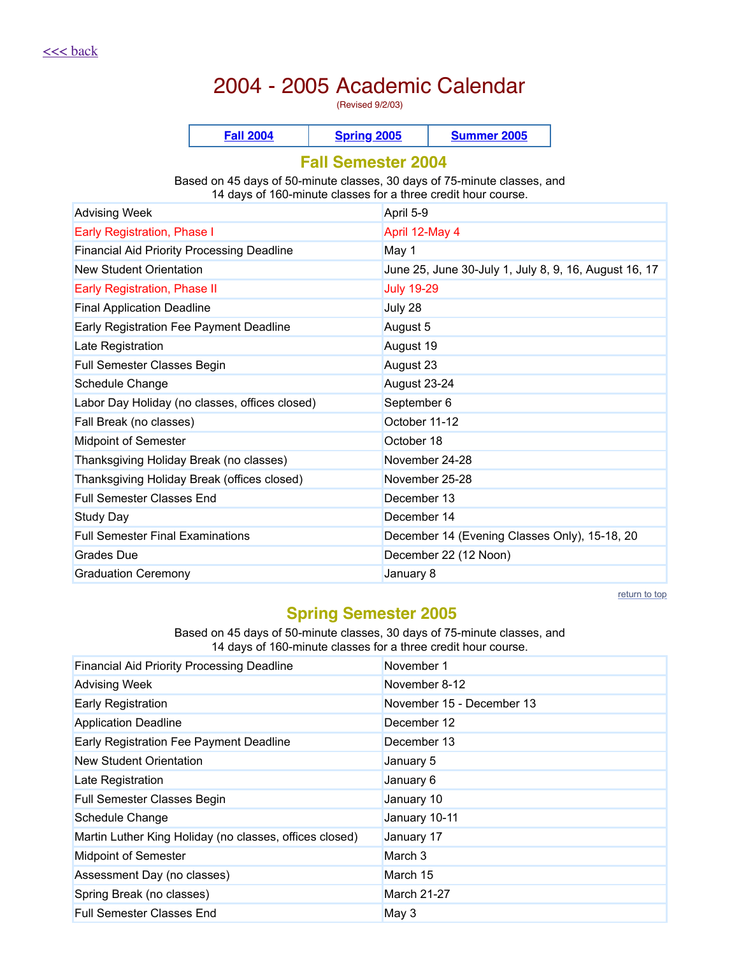# 2004 - 2005 Academic Calendar

(Revised 9/2/03)

|  |  | - - - |
|--|--|-------|
|--|--|-------|

### <span id="page-0-0"></span>**Fall Semester 2004**

Based on 45 days of 50-minute classes, 30 days of 75-minute classes, and 14 days of 160-minute classes for a three credit hour course.

| <b>Advising Week</b>                              | April 5-9                                             |
|---------------------------------------------------|-------------------------------------------------------|
| Early Registration, Phase I                       | April 12-May 4                                        |
| <b>Financial Aid Priority Processing Deadline</b> | May 1                                                 |
| <b>New Student Orientation</b>                    | June 25, June 30-July 1, July 8, 9, 16, August 16, 17 |
| <b>Early Registration, Phase II</b>               | <b>July 19-29</b>                                     |
| <b>Final Application Deadline</b>                 | July 28                                               |
| Early Registration Fee Payment Deadline           | August 5                                              |
| Late Registration                                 | August 19                                             |
| Full Semester Classes Begin                       | August 23                                             |
| Schedule Change                                   | August 23-24                                          |
| Labor Day Holiday (no classes, offices closed)    | September 6                                           |
| Fall Break (no classes)                           | October 11-12                                         |
| <b>Midpoint of Semester</b>                       | October 18                                            |
| Thanksgiving Holiday Break (no classes)           | November 24-28                                        |
| Thanksgiving Holiday Break (offices closed)       | November 25-28                                        |
| <b>Full Semester Classes End</b>                  | December 13                                           |
| Study Day                                         | December 14                                           |
| <b>Full Semester Final Examinations</b>           | December 14 (Evening Classes Only), 15-18, 20         |
| Grades Due                                        | December 22 (12 Noon)                                 |
| <b>Graduation Ceremony</b>                        | January 8                                             |

return to top

# <span id="page-0-1"></span>**Spring Semester 2005**

Based on 45 days of 50-minute classes, 30 days of 75-minute classes, and 14 days of 160-minute classes for a three credit hour course.

| <b>Financial Aid Priority Processing Deadline</b>       | November 1                |
|---------------------------------------------------------|---------------------------|
| <b>Advising Week</b>                                    | November 8-12             |
| Early Registration                                      | November 15 - December 13 |
| <b>Application Deadline</b>                             | December 12               |
| Early Registration Fee Payment Deadline                 | December 13               |
| New Student Orientation                                 | January 5                 |
| Late Registration                                       | January 6                 |
| Full Semester Classes Begin                             | January 10                |
| Schedule Change                                         | January 10-11             |
| Martin Luther King Holiday (no classes, offices closed) | January 17                |
| <b>Midpoint of Semester</b>                             | March 3                   |
| Assessment Day (no classes)                             | March 15                  |
| Spring Break (no classes)                               | <b>March 21-27</b>        |
| <b>Full Semester Classes End</b>                        | May 3                     |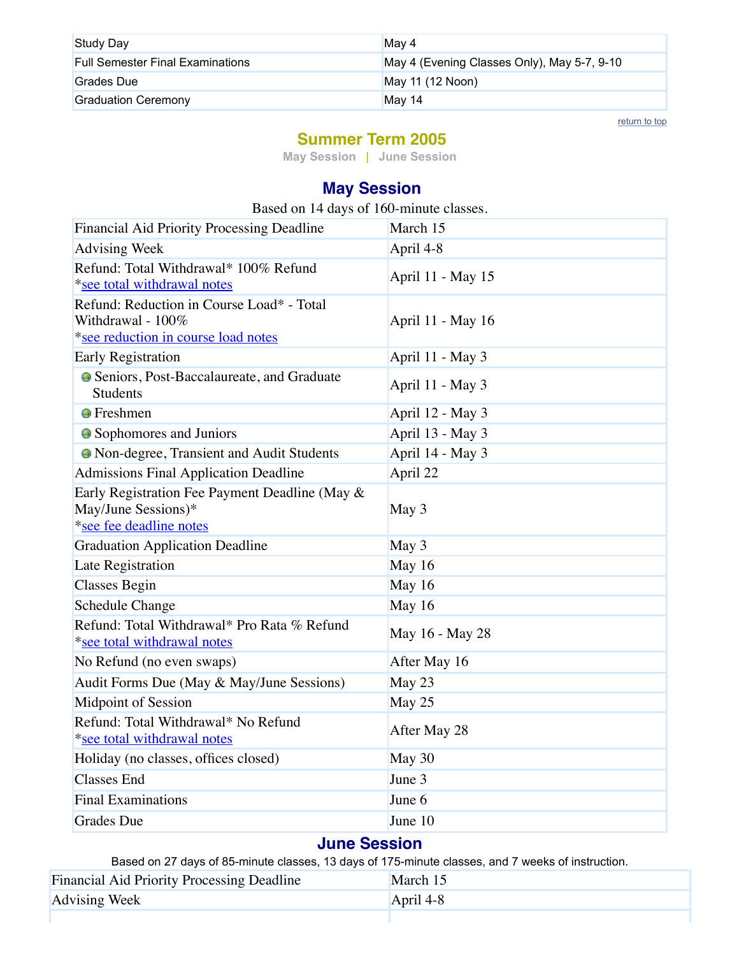| <b>Study Day</b>                        | May 4                                       |
|-----------------------------------------|---------------------------------------------|
| <b>Full Semester Final Examinations</b> | May 4 (Evening Classes Only), May 5-7, 9-10 |
| Grades Due                              | May 11 (12 Noon)                            |
| <b>Graduation Ceremony</b>              | May 14                                      |

return to top

### <span id="page-1-0"></span>**Summer Term 2005**

**May [Session](#page-1-1)** | **June Session**

# <span id="page-1-1"></span>**May Session**

| Based on 14 days of 160-minute classes. |  |
|-----------------------------------------|--|
|-----------------------------------------|--|

| Financial Aid Priority Processing Deadline                                                            | March 15          |
|-------------------------------------------------------------------------------------------------------|-------------------|
| <b>Advising Week</b>                                                                                  | April 4-8         |
| Refund: Total Withdrawal* 100% Refund<br>*see total withdrawal notes                                  | April 11 - May 15 |
| Refund: Reduction in Course Load* - Total<br>Withdrawal - 100%<br>*see reduction in course load notes | April 11 - May 16 |
| <b>Early Registration</b>                                                                             | April 11 - May 3  |
| • Seniors, Post-Baccalaureate, and Graduate<br><b>Students</b>                                        | April 11 - May 3  |
| <b>•</b> Freshmen                                                                                     | April 12 - May 3  |
| • Sophomores and Juniors                                                                              | April 13 - May 3  |
| <sup>o</sup> Non-degree, Transient and Audit Students                                                 | April 14 - May 3  |
| <b>Admissions Final Application Deadline</b>                                                          | April 22          |
| Early Registration Fee Payment Deadline (May &<br>May/June Sessions)*<br>*see fee deadline notes      | May 3             |
| <b>Graduation Application Deadline</b>                                                                | May 3             |
| Late Registration                                                                                     | May 16            |
| <b>Classes Begin</b>                                                                                  | May 16            |
| <b>Schedule Change</b>                                                                                | May 16            |
| Refund: Total Withdrawal* Pro Rata % Refund<br>*see total withdrawal notes                            | May 16 - May 28   |
| No Refund (no even swaps)                                                                             | After May 16      |
| Audit Forms Due (May & May/June Sessions)                                                             | May 23            |
| <b>Midpoint of Session</b>                                                                            | May 25            |
| Refund: Total Withdrawal* No Refund<br>*see total withdrawal notes                                    | After May 28      |
| Holiday (no classes, offices closed)                                                                  | May 30            |
| <b>Classes End</b>                                                                                    | June 3            |
| <b>Final Examinations</b>                                                                             | June 6            |
| <b>Grades</b> Due                                                                                     | June 10           |

### **June Session**

Based on 27 days of 85-minute classes, 13 days of 175-minute classes, and 7 weeks of instruction.

| <b>Financial Aid Priority Processing Deadline</b> | March 15    |
|---------------------------------------------------|-------------|
| <b>Advising Week</b>                              | April $4-8$ |
|                                                   |             |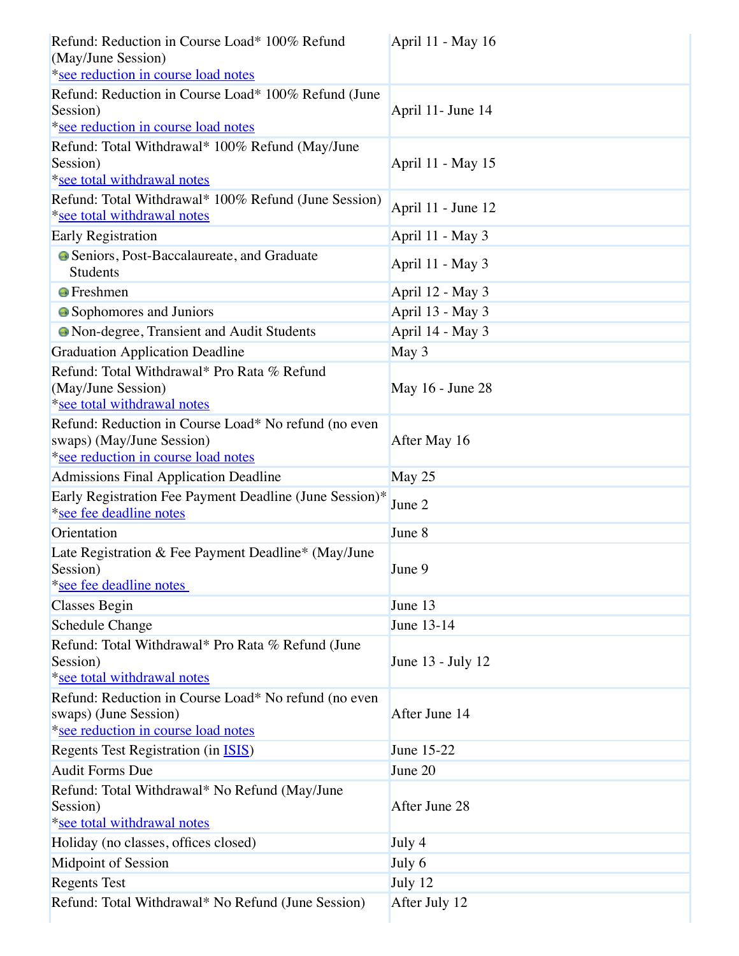| Refund: Reduction in Course Load* 100% Refund<br>(May/June Session)<br>*see reduction in course load notes               | April 11 - May 16  |
|--------------------------------------------------------------------------------------------------------------------------|--------------------|
| Refund: Reduction in Course Load* 100% Refund (June<br>Session)<br>*see reduction in course load notes                   | April 11- June 14  |
| Refund: Total Withdrawal* 100% Refund (May/June<br>Session)<br>*see total withdrawal notes                               | April 11 - May 15  |
| Refund: Total Withdrawal* 100% Refund (June Session)<br>*see total withdrawal notes                                      | April 11 - June 12 |
| <b>Early Registration</b>                                                                                                | April 11 - May 3   |
| • Seniors, Post-Baccalaureate, and Graduate<br><b>Students</b>                                                           | April 11 - May 3   |
| <b>•</b> Freshmen                                                                                                        | April 12 - May 3   |
| • Sophomores and Juniors                                                                                                 | April 13 - May 3   |
| • Non-degree, Transient and Audit Students                                                                               | April 14 - May 3   |
| <b>Graduation Application Deadline</b>                                                                                   | May 3              |
| Refund: Total Withdrawal* Pro Rata % Refund<br>(May/June Session)<br>*see total withdrawal notes                         | May 16 - June 28   |
| Refund: Reduction in Course Load* No refund (no even<br>swaps) (May/June Session)<br>*see reduction in course load notes | After May 16       |
| Admissions Final Application Deadline                                                                                    | May 25             |
| Early Registration Fee Payment Deadline (June Session)*<br>*see fee deadline notes                                       | June 2             |
| Orientation                                                                                                              | June 8             |
| Late Registration & Fee Payment Deadline* (May/June<br>Session)<br>*see fee deadline notes                               | June 9             |
| <b>Classes Begin</b>                                                                                                     | June 13            |
| <b>Schedule Change</b>                                                                                                   | June 13-14         |
| Refund: Total Withdrawal* Pro Rata % Refund (June<br>Session)<br>*see total withdrawal notes                             | June 13 - July 12  |
| Refund: Reduction in Course Load* No refund (no even<br>swaps) (June Session)<br>*see reduction in course load notes     | After June 14      |
| Regents Test Registration (in <b>ISIS</b> )                                                                              | June 15-22         |
| <b>Audit Forms Due</b>                                                                                                   | June 20            |
| Refund: Total Withdrawal* No Refund (May/June<br>Session)<br>*see total withdrawal notes                                 | After June 28      |
| Holiday (no classes, offices closed)                                                                                     | July 4             |
| Midpoint of Session                                                                                                      | July 6             |
| <b>Regents Test</b>                                                                                                      | July 12            |
| Refund: Total Withdrawal* No Refund (June Session)                                                                       | After July 12      |
|                                                                                                                          |                    |